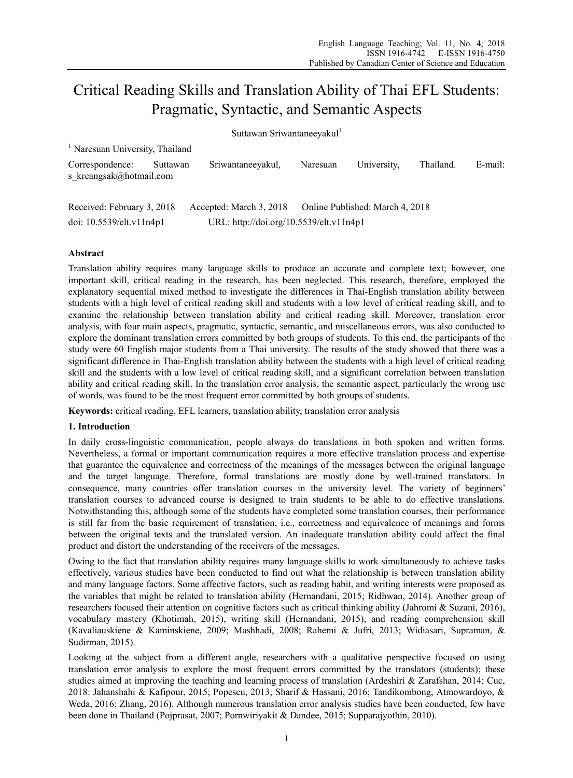# Critical Reading Skills and Translation Ability of Thai EFL Students: Pragmatic, Syntactic, and Semantic Aspects

Suttawan Sriwantaneeyakul<sup>1</sup>

| <sup>1</sup> Naresuan University, Thailand |          |                                         |          |                                 |           |         |
|--------------------------------------------|----------|-----------------------------------------|----------|---------------------------------|-----------|---------|
| Correspondence:<br>s kreangsak@hotmail.com | Suttawan | Sriwantaneeyakul,                       | Naresuan | University.                     | Thailand. | E-mail: |
| Received: February 3, 2018                 |          | Accepted: March 3, 2018                 |          | Online Published: March 4, 2018 |           |         |
| doi: 10.5539/elt.v11n4p1                   |          | URL: http://doi.org/10.5539/elt.v11n4p1 |          |                                 |           |         |

# **Abstract**

Translation ability requires many language skills to produce an accurate and complete text; however, one important skill, critical reading in the research, has been neglected. This research, therefore, employed the explanatory sequential mixed method to investigate the differences in Thai-English translation ability between students with a high level of critical reading skill and students with a low level of critical reading skill, and to examine the relationship between translation ability and critical reading skill. Moreover, translation error analysis, with four main aspects, pragmatic, syntactic, semantic, and miscellaneous errors, was also conducted to explore the dominant translation errors committed by both groups of students. To this end, the participants of the study were 60 English major students from a Thai university. The results of the study showed that there was a significant difference in Thai-English translation ability between the students with a high level of critical reading skill and the students with a low level of critical reading skill, and a significant correlation between translation ability and critical reading skill. In the translation error analysis, the semantic aspect, particularly the wrong use of words, was found to be the most frequent error committed by both groups of students.

**Keywords:** critical reading, EFL learners, translation ability, translation error analysis

# **1. Introduction**

In daily cross-linguistic communication, people always do translations in both spoken and written forms. Nevertheless, a formal or important communication requires a more effective translation process and expertise that guarantee the equivalence and correctness of the meanings of the messages between the original language and the target language. Therefore, formal translations are mostly done by well-trained translators. In consequence, many countries offer translation courses in the university level. The variety of beginners' translation courses to advanced course is designed to train students to be able to do effective translations. Notwithstanding this, although some of the students have completed some translation courses, their performance is still far from the basic requirement of translation, i.e., correctness and equivalence of meanings and forms between the original texts and the translated version. An inadequate translation ability could affect the final product and distort the understanding of the receivers of the messages.

Owing to the fact that translation ability requires many language skills to work simultaneously to achieve tasks effectively, various studies have been conducted to find out what the relationship is between translation ability and many language factors. Some affective factors, such as reading habit, and writing interests were proposed as the variables that might be related to translation ability (Hernandani, 2015; Ridhwan, 2014). Another group of researchers focused their attention on cognitive factors such as critical thinking ability (Jahromi & Suzani, 2016), vocabulary mastery (Khotimah, 2015), writing skill (Hernandani, 2015), and reading comprehension skill (Kavaliauskiene & Kaminskiene, 2009; Mashhadi, 2008; Rahemi & Jufri, 2013; Widiasari, Supraman, & Sudirman, 2015).

Looking at the subject from a different angle, researchers with a qualitative perspective focused on using translation error analysis to explore the most frequent errors committed by the translators (students); these studies aimed at improving the teaching and learning process of translation (Ardeshiri & Zarafshan, 2014; Cuc, 2018: Jahanshahi & Kafipour, 2015; Popescu, 2013; Sharif & Hassani, 2016; Tandikombong, Atmowardoyo, & Weda, 2016; Zhang, 2016). Although numerous translation error analysis studies have been conducted, few have been done in Thailand (Pojprasat, 2007; Pornwiriyakit & Dandee, 2015; Supparajyothin, 2010).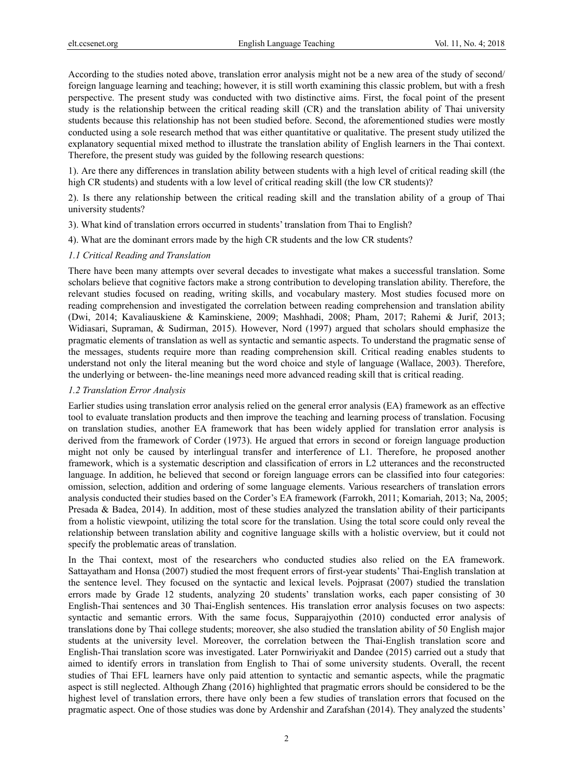According to the studies noted above, translation error analysis might not be a new area of the study of second/ foreign language learning and teaching; however, it is still worth examining this classic problem, but with a fresh perspective. The present study was conducted with two distinctive aims. First, the focal point of the present study is the relationship between the critical reading skill (CR) and the translation ability of Thai university students because this relationship has not been studied before. Second, the aforementioned studies were mostly conducted using a sole research method that was either quantitative or qualitative. The present study utilized the explanatory sequential mixed method to illustrate the translation ability of English learners in the Thai context. Therefore, the present study was guided by the following research questions:

1). Are there any differences in translation ability between students with a high level of critical reading skill (the high CR students) and students with a low level of critical reading skill (the low CR students)?

2). Is there any relationship between the critical reading skill and the translation ability of a group of Thai university students?

- 3). What kind of translation errors occurred in students' translation from Thai to English?
- 4). What are the dominant errors made by the high CR students and the low CR students?

#### *1.1 Critical Reading and Translation*

There have been many attempts over several decades to investigate what makes a successful translation. Some scholars believe that cognitive factors make a strong contribution to developing translation ability. Therefore, the relevant studies focused on reading, writing skills, and vocabulary mastery. Most studies focused more on reading comprehension and investigated the correlation between reading comprehension and translation ability (Dwi, 2014; Kavaliauskiene & Kaminskiene, 2009; Mashhadi, 2008; Pham, 2017; Rahemi & Jurif, 2013; Widiasari, Supraman, & Sudirman, 2015). However, Nord (1997) argued that scholars should emphasize the pragmatic elements of translation as well as syntactic and semantic aspects. To understand the pragmatic sense of the messages, students require more than reading comprehension skill. Critical reading enables students to understand not only the literal meaning but the word choice and style of language (Wallace, 2003). Therefore, the underlying or between- the-line meanings need more advanced reading skill that is critical reading.

#### *1.2 Translation Error Analysis*

Earlier studies using translation error analysis relied on the general error analysis (EA) framework as an effective tool to evaluate translation products and then improve the teaching and learning process of translation. Focusing on translation studies, another EA framework that has been widely applied for translation error analysis is derived from the framework of Corder (1973). He argued that errors in second or foreign language production might not only be caused by interlingual transfer and interference of L1. Therefore, he proposed another framework, which is a systematic description and classification of errors in L2 utterances and the reconstructed language. In addition, he believed that second or foreign language errors can be classified into four categories: omission, selection, addition and ordering of some language elements. Various researchers of translation errors analysis conducted their studies based on the Corder's EA framework (Farrokh, 2011; Komariah, 2013; Na, 2005; Presada & Badea, 2014). In addition, most of these studies analyzed the translation ability of their participants from a holistic viewpoint, utilizing the total score for the translation. Using the total score could only reveal the relationship between translation ability and cognitive language skills with a holistic overview, but it could not specify the problematic areas of translation.

In the Thai context, most of the researchers who conducted studies also relied on the EA framework. Sattayatham and Honsa (2007) studied the most frequent errors of first-year students' Thai-English translation at the sentence level. They focused on the syntactic and lexical levels. Pojprasat (2007) studied the translation errors made by Grade 12 students, analyzing 20 students' translation works, each paper consisting of 30 English-Thai sentences and 30 Thai-English sentences. His translation error analysis focuses on two aspects: syntactic and semantic errors. With the same focus, Supparajyothin (2010) conducted error analysis of translations done by Thai college students; moreover, she also studied the translation ability of 50 English major students at the university level. Moreover, the correlation between the Thai-English translation score and English-Thai translation score was investigated. Later Pornwiriyakit and Dandee (2015) carried out a study that aimed to identify errors in translation from English to Thai of some university students. Overall, the recent studies of Thai EFL learners have only paid attention to syntactic and semantic aspects, while the pragmatic aspect is still neglected. Although Zhang (2016) highlighted that pragmatic errors should be considered to be the highest level of translation errors, there have only been a few studies of translation errors that focused on the pragmatic aspect. One of those studies was done by Ardenshir and Zarafshan (2014). They analyzed the students'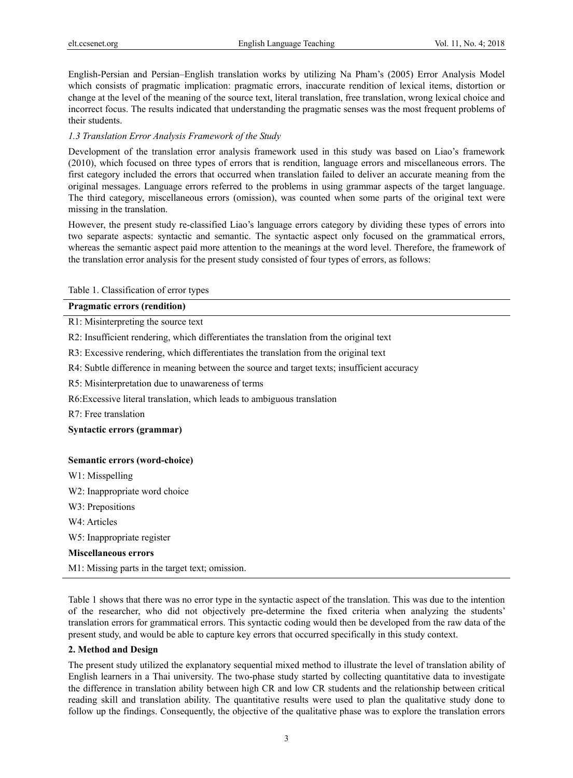English-Persian and Persian–English translation works by utilizing Na Pham's (2005) Error Analysis Model which consists of pragmatic implication: pragmatic errors, inaccurate rendition of lexical items, distortion or change at the level of the meaning of the source text, literal translation, free translation, wrong lexical choice and incorrect focus. The results indicated that understanding the pragmatic senses was the most frequent problems of their students.

## *1.3 Translation Error Analysis Framework of the Study*

Development of the translation error analysis framework used in this study was based on Liao's framework (2010), which focused on three types of errors that is rendition, language errors and miscellaneous errors. The first category included the errors that occurred when translation failed to deliver an accurate meaning from the original messages. Language errors referred to the problems in using grammar aspects of the target language. The third category, miscellaneous errors (omission), was counted when some parts of the original text were missing in the translation.

However, the present study re-classified Liao's language errors category by dividing these types of errors into two separate aspects: syntactic and semantic. The syntactic aspect only focused on the grammatical errors, whereas the semantic aspect paid more attention to the meanings at the word level. Therefore, the framework of the translation error analysis for the present study consisted of four types of errors, as follows:

Table 1. Classification of error types

#### **Pragmatic errors (rendition)**

R1: Misinterpreting the source text

- R2: Insufficient rendering, which differentiates the translation from the original text
- R3: Excessive rendering, which differentiates the translation from the original text
- R4: Subtle difference in meaning between the source and target texts; insufficient accuracy
- R5: Misinterpretation due to unawareness of terms

R6:Excessive literal translation, which leads to ambiguous translation

R7: Free translation

#### **Syntactic errors (grammar)**

#### **Semantic errors (word-choice)**

- W1: Misspelling
- W<sub>2</sub>: Inappropriate word choice
- W3: Prepositions
- W4: Articles
- W5: Inappropriate register

### **Miscellaneous errors**

M1: Missing parts in the target text; omission.

Table 1 shows that there was no error type in the syntactic aspect of the translation. This was due to the intention of the researcher, who did not objectively pre-determine the fixed criteria when analyzing the students' translation errors for grammatical errors. This syntactic coding would then be developed from the raw data of the present study, and would be able to capture key errors that occurred specifically in this study context.

### **2. Method and Design**

The present study utilized the explanatory sequential mixed method to illustrate the level of translation ability of English learners in a Thai university. The two-phase study started by collecting quantitative data to investigate the difference in translation ability between high CR and low CR students and the relationship between critical reading skill and translation ability. The quantitative results were used to plan the qualitative study done to follow up the findings. Consequently, the objective of the qualitative phase was to explore the translation errors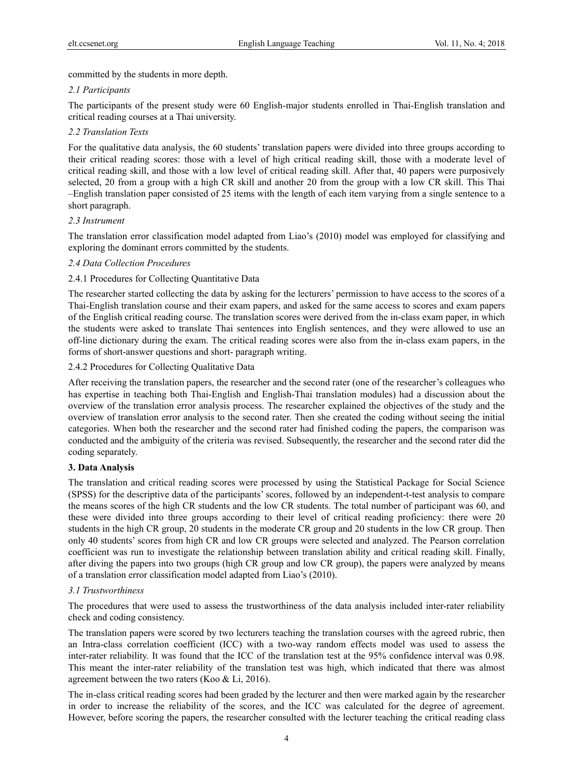committed by the students in more depth.

## *2.1 Participants*

The participants of the present study were 60 English-major students enrolled in Thai-English translation and critical reading courses at a Thai university.

# *2.2 Translation Texts*

For the qualitative data analysis, the 60 students' translation papers were divided into three groups according to their critical reading scores: those with a level of high critical reading skill, those with a moderate level of critical reading skill, and those with a low level of critical reading skill. After that, 40 papers were purposively selected, 20 from a group with a high CR skill and another 20 from the group with a low CR skill. This Thai –English translation paper consisted of 25 items with the length of each item varying from a single sentence to a short paragraph.

## *2.3 Instrument*

The translation error classification model adapted from Liao's (2010) model was employed for classifying and exploring the dominant errors committed by the students.

## *2.4 Data Collection Procedures*

## 2.4.1 Procedures for Collecting Quantitative Data

The researcher started collecting the data by asking for the lecturers' permission to have access to the scores of a Thai-English translation course and their exam papers, and asked for the same access to scores and exam papers of the English critical reading course. The translation scores were derived from the in-class exam paper, in which the students were asked to translate Thai sentences into English sentences, and they were allowed to use an off-line dictionary during the exam. The critical reading scores were also from the in-class exam papers, in the forms of short-answer questions and short- paragraph writing.

# 2.4.2 Procedures for Collecting Qualitative Data

After receiving the translation papers, the researcher and the second rater (one of the researcher's colleagues who has expertise in teaching both Thai-English and English-Thai translation modules) had a discussion about the overview of the translation error analysis process. The researcher explained the objectives of the study and the overview of translation error analysis to the second rater. Then she created the coding without seeing the initial categories. When both the researcher and the second rater had finished coding the papers, the comparison was conducted and the ambiguity of the criteria was revised. Subsequently, the researcher and the second rater did the coding separately.

### **3. Data Analysis**

The translation and critical reading scores were processed by using the Statistical Package for Social Science (SPSS) for the descriptive data of the participants' scores, followed by an independent-t-test analysis to compare the means scores of the high CR students and the low CR students. The total number of participant was 60, and these were divided into three groups according to their level of critical reading proficiency: there were 20 students in the high CR group, 20 students in the moderate CR group and 20 students in the low CR group. Then only 40 students' scores from high CR and low CR groups were selected and analyzed. The Pearson correlation coefficient was run to investigate the relationship between translation ability and critical reading skill. Finally, after diving the papers into two groups (high CR group and low CR group), the papers were analyzed by means of a translation error classification model adapted from Liao's (2010).

### *3.1 Trustworthiness*

The procedures that were used to assess the trustworthiness of the data analysis included inter-rater reliability check and coding consistency.

The translation papers were scored by two lecturers teaching the translation courses with the agreed rubric, then an Intra-class correlation coefficient (ICC) with a two-way random effects model was used to assess the inter-rater reliability. It was found that the ICC of the translation test at the 95% confidence interval was 0.98. This meant the inter-rater reliability of the translation test was high, which indicated that there was almost agreement between the two raters (Koo & Li, 2016).

The in-class critical reading scores had been graded by the lecturer and then were marked again by the researcher in order to increase the reliability of the scores, and the ICC was calculated for the degree of agreement. However, before scoring the papers, the researcher consulted with the lecturer teaching the critical reading class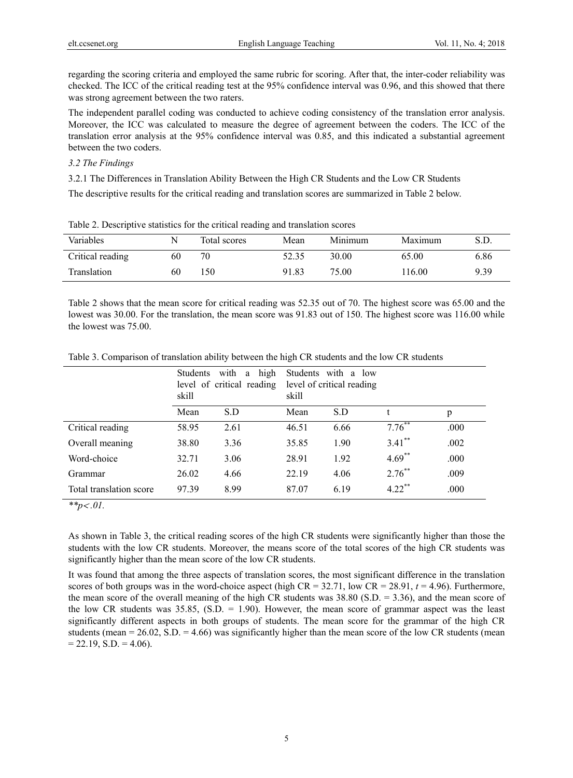regarding the scoring criteria and employed the same rubric for scoring. After that, the inter-coder reliability was checked. The ICC of the critical reading test at the 95% confidence interval was 0.96, and this showed that there was strong agreement between the two raters.

The independent parallel coding was conducted to achieve coding consistency of the translation error analysis. Moreover, the ICC was calculated to measure the degree of agreement between the coders. The ICC of the translation error analysis at the 95% confidence interval was 0.85, and this indicated a substantial agreement between the two coders.

## *3.2 The Findings*

3.2.1 The Differences in Translation Ability Between the High CR Students and the Low CR Students

The descriptive results for the critical reading and translation scores are summarized in Table 2 below.

| Variables        | N  | Total scores | Mean  | Minimum | Maximum | S.D. |
|------------------|----|--------------|-------|---------|---------|------|
| Critical reading | 60 | 70           | 52.35 | 30.00   | 65.00   | 6.86 |
| Translation      | 60 | 150          | 91.83 | 75.00   | 116.00  | 9.39 |

Table 2. Descriptive statistics for the critical reading and translation scores

Table 2 shows that the mean score for critical reading was 52.35 out of 70. The highest score was 65.00 and the lowest was 30.00. For the translation, the mean score was 91.83 out of 150. The highest score was 116.00 while the lowest was 75.00.

|                         | high<br>with<br><b>Students</b><br>a a<br>level of critical reading<br>skill |      | skill | Students with a low<br>level of critical reading |           |      |
|-------------------------|------------------------------------------------------------------------------|------|-------|--------------------------------------------------|-----------|------|
|                         | Mean                                                                         | S.D  | Mean  | S.D                                              |           | p    |
| Critical reading        | 58.95                                                                        | 2.61 | 46.51 | 6.66                                             | $7.76***$ | .000 |
| Overall meaning         | 38.80                                                                        | 3.36 | 35.85 | 1.90                                             | $3.41$ ** | .002 |
| Word-choice             | 32.71                                                                        | 3.06 | 28.91 | 1.92                                             | $4.69***$ | .000 |
| Grammar                 | 26.02                                                                        | 4.66 | 22.19 | 4.06                                             | $2.76$ ** | .009 |
| Total translation score | 97.39                                                                        | 8.99 | 87.07 | 6.19                                             | $4.22$ ** | .000 |

Table 3. Comparison of translation ability between the high CR students and the low CR students

*\*\*p .01.* 

As shown in Table 3, the critical reading scores of the high CR students were significantly higher than those the students with the low CR students. Moreover, the means score of the total scores of the high CR students was significantly higher than the mean score of the low CR students.

It was found that among the three aspects of translation scores, the most significant difference in the translation scores of both groups was in the word-choice aspect (high CR =  $32.71$ , low CR =  $28.91$ ,  $t = 4.96$ ). Furthermore, the mean score of the overall meaning of the high CR students was 38.80 (S.D. = 3.36), and the mean score of the low CR students was  $35.85$ ,  $(S.D. = 1.90)$ . However, the mean score of grammar aspect was the least significantly different aspects in both groups of students. The mean score for the grammar of the high CR students (mean =  $26.02$ , S.D. =  $4.66$ ) was significantly higher than the mean score of the low CR students (mean  $= 22.19$ , S.D.  $= 4.06$ ).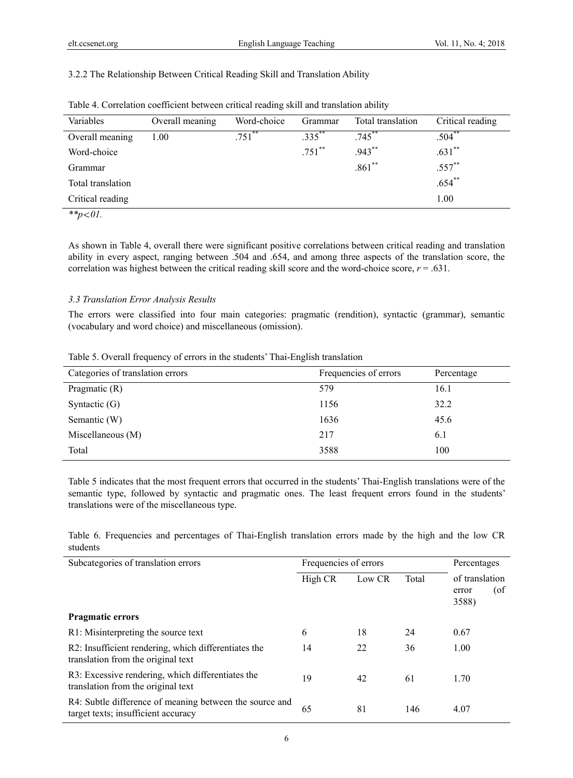# 3.2.2 The Relationship Between Critical Reading Skill and Translation Ability

| Variables         | Overall meaning | Word-choice | Grammar   | Total translation | Critical reading |
|-------------------|-----------------|-------------|-----------|-------------------|------------------|
| Overall meaning   | 1.00            | $.751$ **   | $.335***$ | $.745***$         | $.504***$        |
| Word-choice       |                 |             | $.751$ ** | $.943**$          | $.631$ **        |
| Grammar           |                 |             |           | $.861**$          | $.557***$        |
| Total translation |                 |             |           |                   | $.654***$        |
| Critical reading  |                 |             |           |                   | 1.00             |

Table 4. Correlation coefficient between critical reading skill and translation ability

*\*\*p.01.* 

As shown in Table 4, overall there were significant positive correlations between critical reading and translation ability in every aspect, ranging between .504 and .654, and among three aspects of the translation score, the correlation was highest between the critical reading skill score and the word-choice score,  $r = .631$ .

#### *3.3 Translation Error Analysis Results*

The errors were classified into four main categories: pragmatic (rendition), syntactic (grammar), semantic (vocabulary and word choice) and miscellaneous (omission).

| Twore strong tree and the strong in the statements of the English translation |                       |            |  |  |  |  |
|-------------------------------------------------------------------------------|-----------------------|------------|--|--|--|--|
| Categories of translation errors                                              | Frequencies of errors | Percentage |  |  |  |  |
| Pragmatic $(R)$                                                               | 579                   | 16.1       |  |  |  |  |
| Syntactic $(G)$                                                               | 1156                  | 32.2       |  |  |  |  |
| Semantic (W)                                                                  | 1636                  | 45.6       |  |  |  |  |
| Miscellaneous (M)                                                             | 217                   | 6.1        |  |  |  |  |
| Total                                                                         | 3588                  | 100        |  |  |  |  |
|                                                                               |                       |            |  |  |  |  |

Table 5. Overall frequency of errors in the students' Thai-English translation

Table 5 indicates that the most frequent errors that occurred in the students' Thai-English translations were of the semantic type, followed by syntactic and pragmatic ones. The least frequent errors found in the students' translations were of the miscellaneous type.

Table 6. Frequencies and percentages of Thai-English translation errors made by the high and the low CR students

| Subcategories of translation errors                                                            | Frequencies of errors |        | Percentages |                                         |
|------------------------------------------------------------------------------------------------|-----------------------|--------|-------------|-----------------------------------------|
|                                                                                                | High CR               | Low CR | Total       | of translation<br>(of<br>error<br>3588) |
| <b>Pragmatic errors</b>                                                                        |                       |        |             |                                         |
| R1: Misinterpreting the source text                                                            | 6                     | 18     | 24          | 0.67                                    |
| R2: Insufficient rendering, which differentiates the<br>translation from the original text     | 14                    | 22     | 36          | 1.00                                    |
| R3: Excessive rendering, which differentiates the<br>translation from the original text        | 19                    | 42     | 61          | 1.70                                    |
| R4: Subtle difference of meaning between the source and<br>target texts; insufficient accuracy | 65                    | 81     | 146         | 4.07                                    |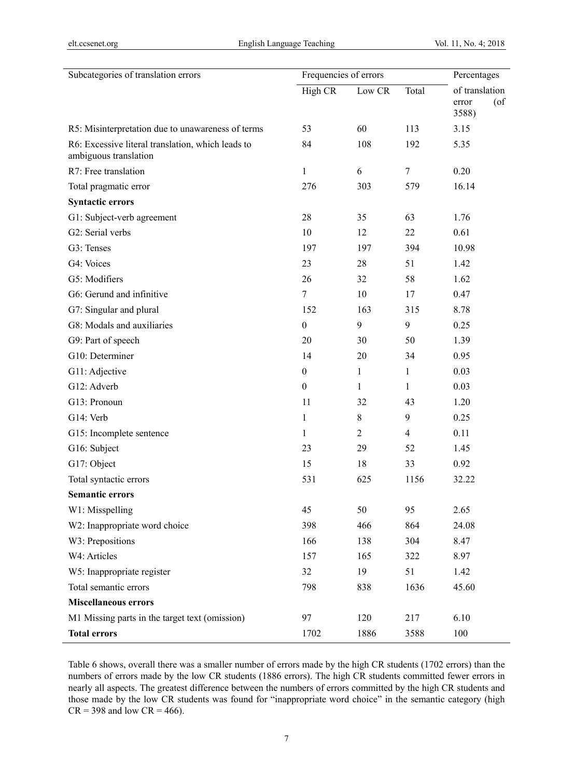| Subcategories of translation errors                                        | Frequencies of errors | Percentages    |                |                                            |
|----------------------------------------------------------------------------|-----------------------|----------------|----------------|--------------------------------------------|
|                                                                            | High CR               | Low CR         | Total          | of translation<br>$($ of<br>error<br>3588) |
| R5: Misinterpretation due to unawareness of terms                          | 53                    | 60             | 113            | 3.15                                       |
| R6: Excessive literal translation, which leads to<br>ambiguous translation | 84                    | 108            | 192            | 5.35                                       |
| R7: Free translation                                                       | 1                     | 6              | 7              | 0.20                                       |
| Total pragmatic error                                                      | 276                   | 303            | 579            | 16.14                                      |
| <b>Syntactic errors</b>                                                    |                       |                |                |                                            |
| G1: Subject-verb agreement                                                 | 28                    | 35             | 63             | 1.76                                       |
| G2: Serial verbs                                                           | 10                    | 12             | 22             | 0.61                                       |
| G3: Tenses                                                                 | 197                   | 197            | 394            | 10.98                                      |
| G4: Voices                                                                 | 23                    | 28             | 51             | 1.42                                       |
| G5: Modifiers                                                              | 26                    | 32             | 58             | 1.62                                       |
| G6: Gerund and infinitive                                                  | $\tau$                | 10             | 17             | 0.47                                       |
| G7: Singular and plural                                                    | 152                   | 163            | 315            | 8.78                                       |
| G8: Modals and auxiliaries                                                 | $\boldsymbol{0}$      | 9              | 9              | 0.25                                       |
| G9: Part of speech                                                         | 20                    | 30             | 50             | 1.39                                       |
| G10: Determiner                                                            | 14                    | 20             | 34             | 0.95                                       |
| G11: Adjective                                                             | $\boldsymbol{0}$      | 1              | 1              | 0.03                                       |
| G12: Adverb                                                                | $\boldsymbol{0}$      | $\mathbf{1}$   | 1              | 0.03                                       |
| G13: Pronoun                                                               | 11                    | 32             | 43             | 1.20                                       |
| G14: Verb                                                                  | 1                     | 8              | 9              | 0.25                                       |
| G15: Incomplete sentence                                                   | $\mathbf{1}$          | $\overline{2}$ | $\overline{4}$ | 0.11                                       |
| G16: Subject                                                               | 23                    | 29             | 52             | 1.45                                       |
| G17: Object                                                                | 15                    | 18             | 33             | 0.92                                       |
| Total syntactic errors                                                     | 531                   | 625            | 1156           | 32.22                                      |
| <b>Semantic errors</b>                                                     |                       |                |                |                                            |
| W1: Misspelling                                                            | 45                    | 50             | 95             | 2.65                                       |
| W2: Inappropriate word choice                                              | 398                   | 466            | 864            | 24.08                                      |
| W3: Prepositions                                                           | 166                   | 138            | 304            | 8.47                                       |
| W4: Articles                                                               | 157                   | 165            | 322            | 8.97                                       |
| W5: Inappropriate register                                                 | 32                    | 19             | 51             | 1.42                                       |
| Total semantic errors                                                      | 798                   | 838            | 1636           | 45.60                                      |
| <b>Miscellaneous errors</b>                                                |                       |                |                |                                            |
| M1 Missing parts in the target text (omission)                             | 97                    | 120            | 217            | 6.10                                       |
| <b>Total errors</b>                                                        | 1702                  | 1886           | 3588           | 100                                        |

Table 6 shows, overall there was a smaller number of errors made by the high CR students (1702 errors) than the numbers of errors made by the low CR students (1886 errors). The high CR students committed fewer errors in nearly all aspects. The greatest difference between the numbers of errors committed by the high CR students and those made by the low CR students was found for "inappropriate word choice" in the semantic category (high  $CR = 398$  and low  $CR = 466$ ).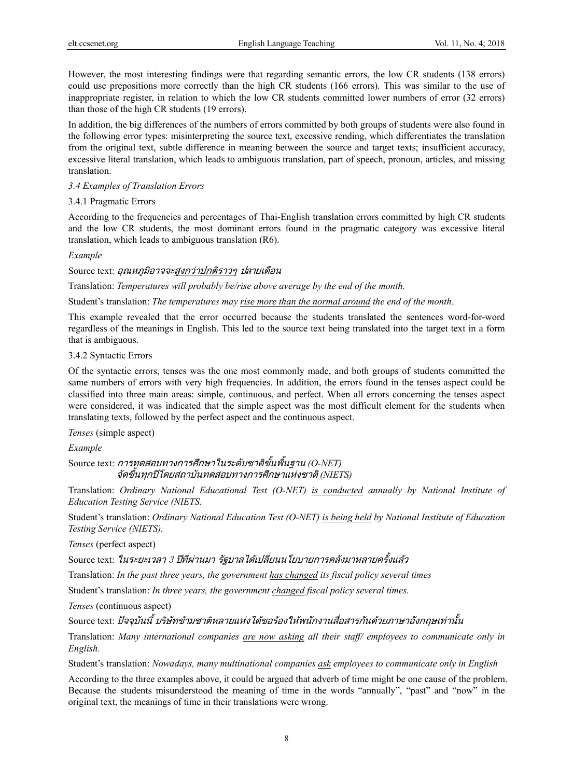However, the most interesting findings were that regarding semantic errors, the low CR students (138 errors) could use prepositions more correctly than the high CR students (166 errors). This was similar to the use of inappropriate register, in relation to which the low CR students committed lower numbers of error (32 errors) than those of the high CR students (19 errors).

In addition, the big differences of the numbers of errors committed by both groups of students were also found in the following error types: misinterpreting the source text, excessive rending, which differentiates the translation from the original text, subtle difference in meaning between the source and target texts; insufficient accuracy, excessive literal translation, which leads to ambiguous translation, part of speech, pronoun, articles, and missing translation.

#### *3.4 Examples of Translation Errors*

#### 3.4.1 Pragmatic Errors

According to the frequencies and percentages of Thai-English translation errors committed by high CR students and the low CR students, the most dominant errors found in the pragmatic category was excessive literal translation, which leads to ambiguous translation (R6).

#### *Example*

#### Source text: อุณหภูมิอาจจะสูงกว่าปกติราวๆ ปลายเดือน

Translation: *Temperatures will probably be/rise above average by the end of the month.* 

Student's translation: *The temperatures may rise more than the normal around the end of the month.* 

This example revealed that the error occurred because the students translated the sentences word-for-word regardless of the meanings in English. This led to the source text being translated into the target text in a form that is ambiguous.

## 3.4.2 Syntactic Errors

Of the syntactic errors, tenses was the one most commonly made, and both groups of students committed the same numbers of errors with very high frequencies. In addition, the errors found in the tenses aspect could be classified into three main areas: simple, continuous, and perfect. When all errors concerning the tenses aspect were considered, it was indicated that the simple aspect was the most difficult element for the students when translating texts, followed by the perfect aspect and the continuous aspect.

*Tenses* (simple aspect)

*Example* 

Source text: การทดสอบทางการศึกษาในระดับชาติขั้นพนฐาน ื้ *(O-NET)*  จัดขึ้นทุกปโดยสถาบ ันทดสอบทางการศึกษาแหงชาติ*(NIETS)* 

Translation: *Ordinary National Educational Test (O-NET) is conducted annually by National Institute of Education Testing Service (NIETS.* 

Student's translation: *Ordinary National Education Test (O-NET) is being held by National Institute of Education Testing Service (NIETS).* 

*Tenses* (perfect aspect)

Source text: ในระยะเวลา 3 ปีที่ผ่านมา รัฐบาลได้เปลี่ยนนโยบายการคลังมาหลายครั้งแล้ว

Translation: *In the past three years, the government has changed its fiscal policy several times* 

Student's translation: *In three years, the government changed fiscal policy several times.* 

*Tenses* (continuous aspect)

Source text: ปัจจุบันนี้ บริษัทข้ามชาติหลายแห่งได้ขอร้องให้พนักงานสื่อสารกันด้วยภาษาอังกฤษเท่านั้น

Translation: *Many international companies are now asking all their staff/ employees to communicate only in English.*

Student's translation: *Nowadays, many multinational companies ask employees to communicate only in English* 

According to the three examples above, it could be argued that adverb of time might be one cause of the problem. Because the students misunderstood the meaning of time in the words "annually", "past" and "now" in the original text, the meanings of time in their translations were wrong.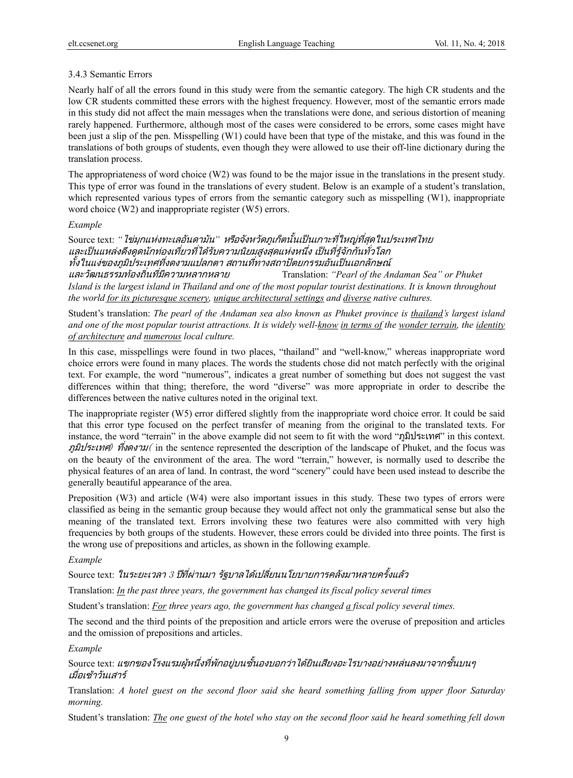# 3.4.3 Semantic Errors

Nearly half of all the errors found in this study were from the semantic category. The high CR students and the low CR students committed these errors with the highest frequency. However, most of the semantic errors made in this study did not affect the main messages when the translations were done, and serious distortion of meaning rarely happened. Furthermore, although most of the cases were considered to be errors, some cases might have been just a slip of the pen. Misspelling (W1) could have been that type of the mistake, and this was found in the translations of both groups of students, even though they were allowed to use their off-line dictionary during the translation process.

The appropriateness of word choice (W2) was found to be the major issue in the translations in the present study. This type of error was found in the translations of every student. Below is an example of a student's translation, which represented various types of errors from the semantic category such as misspelling (W1), inappropriate word choice (W2) and inappropriate register (W5) errors.

### *Example*

Source text: *" ไข่มกแห่งทะเลอันดามัน" หรือจังหวัดภเก็ตนั้นเป็นเกาะที่ใหญ่ที่สุดในประเทศไทย* และเป็นแหล่งดึงดูดนักท่องเที่ยวที่ ได้รับความนิยมสูงสุดแห่งหนึ่ง เป็นที่รู้จักกันทั่วโลก ี่ทั้งในแง่ของภูมิประเทศที่งดงามแปลกตา สถานที่ทางสถาปัตยกรรมอันเป็นเอกลักษณ์ และวฒนธรรมท ั องถิ่นที่มความหลากหลาย ี Translation: *"Pearl of the Andaman Sea" or Phuket Island is the largest island in Thailand and one of the most popular tourist destinations. It is known throughout the world for its picturesque scenery, unique architectural settings and diverse native cultures.*

Student's translation: *The pearl of the Andaman sea also known as Phuket province is thailand's largest island and one of the most popular tourist attractions. It is widely well-know in terms of the wonder terrain, the identity of architecture and numerous local culture.* 

In this case, misspellings were found in two places, "thailand" and "well-know," whereas inappropriate word choice errors were found in many places. The words the students chose did not match perfectly with the original text. For example, the word "numerous", indicates a great number of something but does not suggest the vast differences within that thing; therefore, the word "diverse" was more appropriate in order to describe the differences between the native cultures noted in the original text.

The inappropriate register (W5) error differed slightly from the inappropriate word choice error. It could be said that this error type focused on the perfect transfer of meaning from the original to the translated texts. For instance, the word "terrain" in the above example did not seem to fit with the word "ภูมิประเทศ" in this context. ภูมิประเทศ) ทึ่งดงาม ( in the sentence represented the description of the landscape of Phuket, and the focus was on the beauty of the environment of the area. The word "terrain," however, is normally used to describe the physical features of an area of land. In contrast, the word "scenery" could have been used instead to describe the generally beautiful appearance of the area.

Preposition (W3) and article (W4) were also important issues in this study. These two types of errors were classified as being in the semantic group because they would affect not only the grammatical sense but also the meaning of the translated text. Errors involving these two features were also committed with very high frequencies by both groups of the students. However, these errors could be divided into three points. The first is the wrong use of prepositions and articles, as shown in the following example.

*Example* 

Source text: *ในระยะเวลา 3 ปีที่ผ่านมา รัฐบาลได้เปลี่ยนนโยบายการคลังมาหลายครั้งแล้ว* 

Translation: *In the past three years, the government has changed its fiscal policy several times* 

Student's translation: *For three years ago, the government has changed a fiscal policy several times.* 

The second and the third points of the preposition and article errors were the overuse of preposition and articles and the omission of prepositions and articles.

*Example* 

Source text: แขกของโรงแรมผู้หนึ่งที่พักอยู่บนชั้นองบอกว่าได้ยินเสียงอะไรบางอย่างหล่นลงมาจากชั้นบนๆ เมื่อเช้าวันเสาร์

Translation: *A hotel guest on the second floor said she heard something falling from upper floor Saturday morning.* 

Student's translation: *The one guest of the hotel who stay on the second floor said he heard something fell down*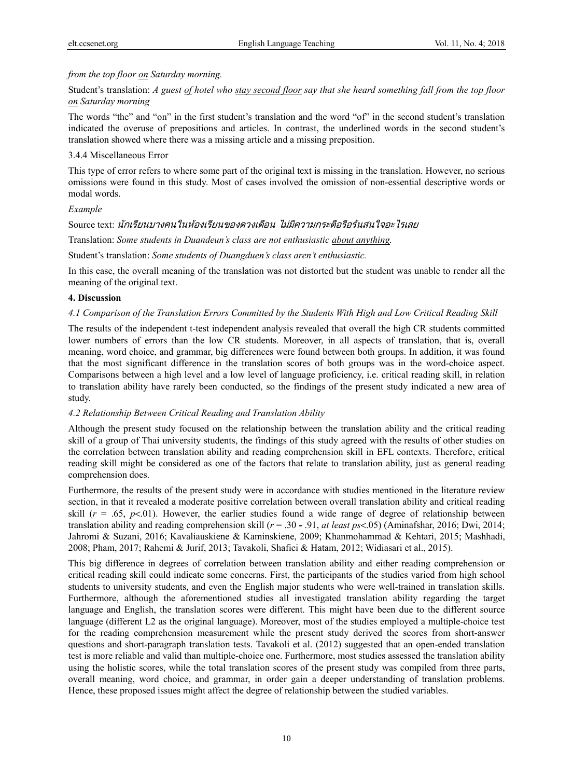## *from the top floor on Saturday morning.*

Student's translation: *A guest of hotel who stay second floor say that she heard something fall from the top floor on Saturday morning* 

The words "the" and "on" in the first student's translation and the word "of" in the second student's translation indicated the overuse of prepositions and articles. In contrast, the underlined words in the second student's translation showed where there was a missing article and a missing preposition.

## 3.4.4 Miscellaneous Error

This type of error refers to where some part of the original text is missing in the translation. However, no serious omissions were found in this study. Most of cases involved the omission of non-essential descriptive words or modal words.

### *Example*

# Source text: นักเรียนบางคนในห้องเรียนของดวงเดือน ไม่มีความกระตือรือร้นสนใจอะไรเลย

Translation: *Some students in Duandeun's class are not enthusiastic about anything.* 

Student's translation: *Some students of Duangduen's class aren't enthusiastic.* 

In this case, the overall meaning of the translation was not distorted but the student was unable to render all the meaning of the original text.

## **4. Discussion**

## *4.1 Comparison of the Translation Errors Committed by the Students With High and Low Critical Reading Skill*

The results of the independent t-test independent analysis revealed that overall the high CR students committed lower numbers of errors than the low CR students. Moreover, in all aspects of translation, that is, overall meaning, word choice, and grammar, big differences were found between both groups. In addition, it was found that the most significant difference in the translation scores of both groups was in the word-choice aspect. Comparisons between a high level and a low level of language proficiency, i.e. critical reading skill, in relation to translation ability have rarely been conducted, so the findings of the present study indicated a new area of study.

### *4.2 Relationship Between Critical Reading and Translation Ability*

Although the present study focused on the relationship between the translation ability and the critical reading skill of a group of Thai university students, the findings of this study agreed with the results of other studies on the correlation between translation ability and reading comprehension skill in EFL contexts. Therefore, critical reading skill might be considered as one of the factors that relate to translation ability, just as general reading comprehension does.

Furthermore, the results of the present study were in accordance with studies mentioned in the literature review section, in that it revealed a moderate positive correlation between overall translation ability and critical reading skill  $(r = .65, p<01)$ . However, the earlier studies found a wide range of degree of relationship between translation ability and reading comprehension skill (*r* = .30 **-** .91, *at least ps*.05) (Aminafshar, 2016; Dwi, 2014; Jahromi & Suzani, 2016; Kavaliauskiene & Kaminskiene, 2009; Khanmohammad & Kehtari, 2015; Mashhadi, 2008; Pham, 2017; Rahemi & Jurif, 2013; Tavakoli, Shafiei & Hatam, 2012; Widiasari et al., 2015).

This big difference in degrees of correlation between translation ability and either reading comprehension or critical reading skill could indicate some concerns. First, the participants of the studies varied from high school students to university students, and even the English major students who were well-trained in translation skills. Furthermore, although the aforementioned studies all investigated translation ability regarding the target language and English, the translation scores were different. This might have been due to the different source language (different L2 as the original language). Moreover, most of the studies employed a multiple-choice test for the reading comprehension measurement while the present study derived the scores from short-answer questions and short-paragraph translation tests. Tavakoli et al. (2012) suggested that an open-ended translation test is more reliable and valid than multiple-choice one. Furthermore, most studies assessed the translation ability using the holistic scores, while the total translation scores of the present study was compiled from three parts, overall meaning, word choice, and grammar, in order gain a deeper understanding of translation problems. Hence, these proposed issues might affect the degree of relationship between the studied variables.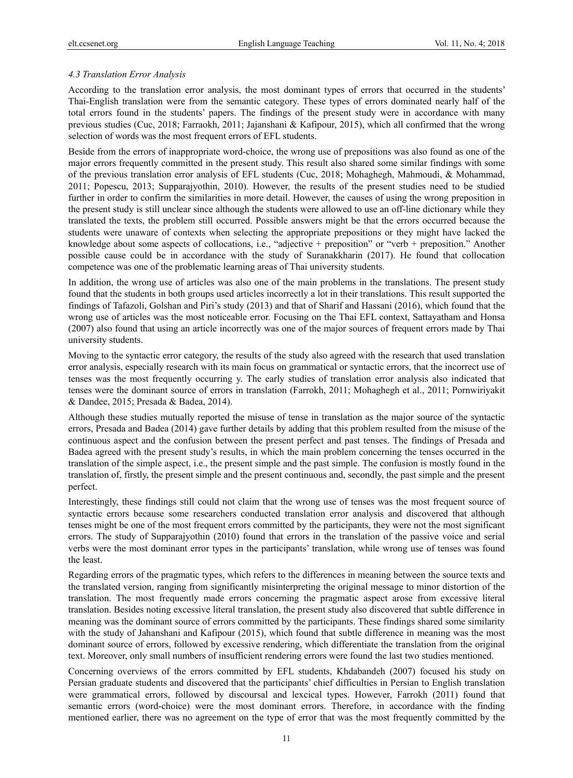## *4.3 Translation Error Analysis*

According to the translation error analysis, the most dominant types of errors that occurred in the students' Thai-English translation were from the semantic category. These types of errors dominated nearly half of the total errors found in the students' papers. The findings of the present study were in accordance with many previous studies (Cuc, 2018; Farraokh, 2011; Jajanshani & Kafipour, 2015), which all confirmed that the wrong selection of words was the most frequent errors of EFL students.

Beside from the errors of inappropriate word-choice, the wrong use of prepositions was also found as one of the major errors frequently committed in the present study. This result also shared some similar findings with some of the previous translation error analysis of EFL students (Cuc, 2018; Mohaghegh, Mahmoudi, & Mohammad, 2011; Popescu, 2013; Supparajyothin, 2010). However, the results of the present studies need to be studied further in order to confirm the similarities in more detail. However, the causes of using the wrong preposition in the present study is still unclear since although the students were allowed to use an off-line dictionary while they translated the texts, the problem still occurred. Possible answers might be that the errors occurred because the students were unaware of contexts when selecting the appropriate prepositions or they might have lacked the knowledge about some aspects of collocations, i.e., "adjective + preposition" or "verb + preposition." Another possible cause could be in accordance with the study of Suranakkharin (2017). He found that collocation competence was one of the problematic learning areas of Thai university students.

In addition, the wrong use of articles was also one of the main problems in the translations. The present study found that the students in both groups used articles incorrectly a lot in their translations. This result supported the findings of Tafazoli, Golshan and Piri's study (2013) and that of Sharif and Hassani (2016), which found that the wrong use of articles was the most noticeable error. Focusing on the Thai EFL context, Sattayatham and Honsa (2007) also found that using an article incorrectly was one of the major sources of frequent errors made by Thai university students.

Moving to the syntactic error category, the results of the study also agreed with the research that used translation error analysis, especially research with its main focus on grammatical or syntactic errors, that the incorrect use of tenses was the most frequently occurring y. The early studies of translation error analysis also indicated that tenses were the dominant source of errors in translation (Farrokh, 2011; Mohaghegh et al., 2011; Pornwiriyakit & Dandee, 2015; Presada & Badea, 2014).

Although these studies mutually reported the misuse of tense in translation as the major source of the syntactic errors, Presada and Badea (2014) gave further details by adding that this problem resulted from the misuse of the continuous aspect and the confusion between the present perfect and past tenses. The findings of Presada and Badea agreed with the present study's results, in which the main problem concerning the tenses occurred in the translation of the simple aspect, i.e., the present simple and the past simple. The confusion is mostly found in the translation of, firstly, the present simple and the present continuous and, secondly, the past simple and the present perfect.

Interestingly, these findings still could not claim that the wrong use of tenses was the most frequent source of syntactic errors because some researchers conducted translation error analysis and discovered that although tenses might be one of the most frequent errors committed by the participants, they were not the most significant errors. The study of Supparajyothin (2010) found that errors in the translation of the passive voice and serial verbs were the most dominant error types in the participants' translation, while wrong use of tenses was found the least.

Regarding errors of the pragmatic types, which refers to the differences in meaning between the source texts and the translated version, ranging from significantly misinterpreting the original message to minor distortion of the translation. The most frequently made errors concerning the pragmatic aspect arose from excessive literal translation. Besides noting excessive literal translation, the present study also discovered that subtle difference in meaning was the dominant source of errors committed by the participants. These findings shared some similarity with the study of Jahanshani and Kafipour (2015), which found that subtle difference in meaning was the most dominant source of errors, followed by excessive rendering, which differentiate the translation from the original text. Moreover, only small numbers of insufficient rendering errors were found the last two studies mentioned.

Concerning overviews of the errors committed by EFL students, Khdabandeh (2007) focused his study on Persian graduate students and discovered that the participants' chief difficulties in Persian to English translation were grammatical errors, followed by discoursal and lexcical types. However, Farrokh (2011) found that semantic errors (word-choice) were the most dominant errors. Therefore, in accordance with the finding mentioned earlier, there was no agreement on the type of error that was the most frequently committed by the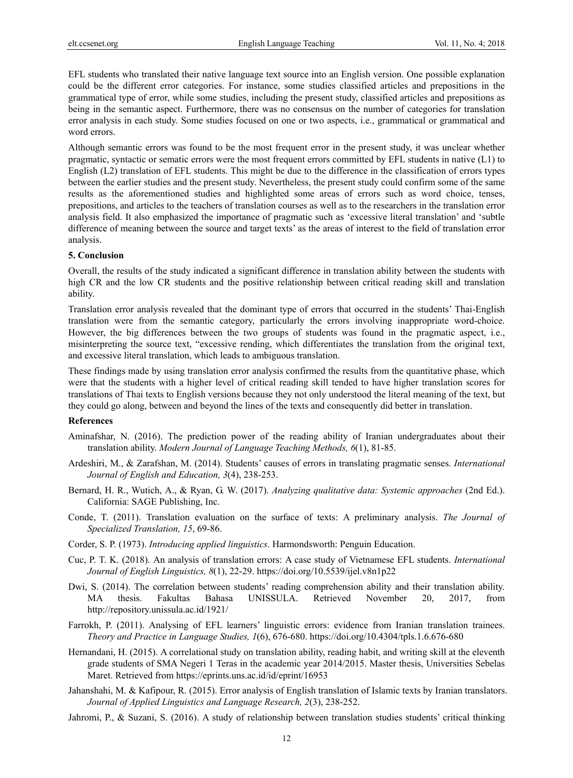EFL students who translated their native language text source into an English version. One possible explanation could be the different error categories. For instance, some studies classified articles and prepositions in the grammatical type of error, while some studies, including the present study, classified articles and prepositions as being in the semantic aspect. Furthermore, there was no consensus on the number of categories for translation error analysis in each study. Some studies focused on one or two aspects, i.e., grammatical or grammatical and word errors.

Although semantic errors was found to be the most frequent error in the present study, it was unclear whether pragmatic, syntactic or sematic errors were the most frequent errors committed by EFL students in native (L1) to English (L2) translation of EFL students. This might be due to the difference in the classification of errors types between the earlier studies and the present study. Nevertheless, the present study could confirm some of the same results as the aforementioned studies and highlighted some areas of errors such as word choice, tenses, prepositions, and articles to the teachers of translation courses as well as to the researchers in the translation error analysis field. It also emphasized the importance of pragmatic such as 'excessive literal translation' and 'subtle difference of meaning between the source and target texts' as the areas of interest to the field of translation error analysis.

#### **5. Conclusion**

Overall, the results of the study indicated a significant difference in translation ability between the students with high CR and the low CR students and the positive relationship between critical reading skill and translation ability.

Translation error analysis revealed that the dominant type of errors that occurred in the students' Thai-English translation were from the semantic category, particularly the errors involving inappropriate word-choice. However, the big differences between the two groups of students was found in the pragmatic aspect, i.e., misinterpreting the source text, "excessive rending, which differentiates the translation from the original text, and excessive literal translation, which leads to ambiguous translation.

These findings made by using translation error analysis confirmed the results from the quantitative phase, which were that the students with a higher level of critical reading skill tended to have higher translation scores for translations of Thai texts to English versions because they not only understood the literal meaning of the text, but they could go along, between and beyond the lines of the texts and consequently did better in translation.

#### **References**

- Aminafshar, N. (2016). The prediction power of the reading ability of Iranian undergraduates about their translation ability. *Modern Journal of Language Teaching Methods, 6*(1), 81-85.
- Ardeshiri, M., & Zarafshan, M. (2014). Students' causes of errors in translating pragmatic senses. *International Journal of English and Education, 3*(4), 238-253.
- Bernard, H. R., Wutich, A., & Ryan, G. W. (2017). *Analyzing qualitative data: Systemic approaches* (2nd Ed.). California: SAGE Publishing, Inc.
- Conde, T. (2011). Translation evaluation on the surface of texts: A preliminary analysis. *The Journal of Specialized Translation, 15*, 69-86.
- Corder, S. P. (1973). *Introducing applied linguistics*. Harmondsworth: Penguin Education.
- Cuc, P. T. K. (2018). An analysis of translation errors: A case study of Vietnamese EFL students. *International Journal of English Linguistics, 8*(1), 22-29. https://doi.org/10.5539/ijel.v8n1p22
- Dwi, S. (2014). The correlation between students' reading comprehension ability and their translation ability. MA thesis. Fakultas Bahasa UNISSULA. Retrieved November 20, 2017, from http://repository.unissula.ac.id/1921/
- Farrokh, P. (2011). Analysing of EFL learners' linguistic errors: evidence from Iranian translation trainees. *Theory and Practice in Language Studies, 1*(6), 676-680. https://doi.org/10.4304/tpls.1.6.676-680
- Hernandani, H. (2015). A correlational study on translation ability, reading habit, and writing skill at the eleventh grade students of SMA Negeri 1 Teras in the academic year 2014/2015. Master thesis, Universities Sebelas Maret. Retrieved from https://eprints.uns.ac.id/id/eprint/16953
- Jahanshahi, M. & Kafipour, R. (2015). Error analysis of English translation of Islamic texts by Iranian translators. *Journal of Applied Linguistics and Language Research, 2*(3), 238-252.
- Jahromi, P., & Suzani, S. (2016). A study of relationship between translation studies students' critical thinking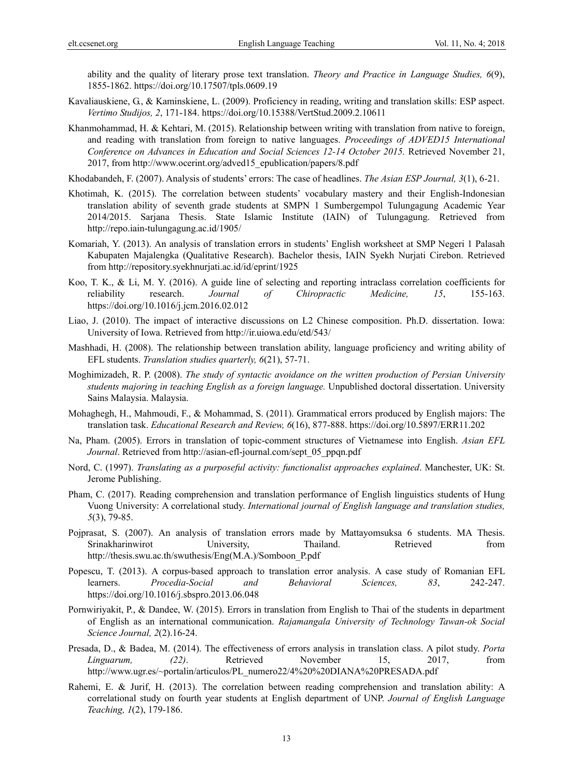ability and the quality of literary prose text translation. *Theory and Practice in Language Studies, 6*(9), 1855-1862. https://doi.org/10.17507/tpls.0609.19

- Kavaliauskiene, G., & Kaminskiene, L. (2009). Proficiency in reading, writing and translation skills: ESP aspect. *Vertimo Studijos, 2*, 171-184. https://doi.org/10.15388/VertStud.2009.2.10611
- Khanmohammad, H. & Kehtari, M. (2015). Relationship between writing with translation from native to foreign, and reading with translation from foreign to native languages. *Proceedings of ADVED15 International Conference on Advances in Education and Social Sciences 12-14 October 2015.* Retrieved November 21, 2017, from http://www.ocerint.org/adved15\_epublication/papers/8.pdf
- Khodabandeh, F. (2007). Analysis of students' errors: The case of headlines. *The Asian ESP Journal, 3*(1), 6-21.
- Khotimah, K. (2015). The correlation between students' vocabulary mastery and their English-Indonesian translation ability of seventh grade students at SMPN 1 Sumbergempol Tulungagung Academic Year 2014/2015. Sarjana Thesis. State Islamic Institute (IAIN) of Tulungagung. Retrieved from http://repo.iain-tulungagung.ac.id/1905/
- Komariah, Y. (2013). An analysis of translation errors in students' English worksheet at SMP Negeri 1 Palasah Kabupaten Majalengka (Qualitative Research). Bachelor thesis, IAIN Syekh Nurjati Cirebon. Retrieved from http://repository.syekhnurjati.ac.id/id/eprint/1925
- Koo, T. K., & Li, M. Y. (2016). A guide line of selecting and reporting intraclass correlation coefficients for reliability research. *Journal of Chiropractic Medicine, 15*, 155-163. https://doi.org/10.1016/j.jcm.2016.02.012
- Liao, J. (2010). The impact of interactive discussions on L2 Chinese composition. Ph.D. dissertation. Iowa: University of Iowa. Retrieved from http://ir.uiowa.edu/etd/543/
- Mashhadi, H. (2008). The relationship between translation ability, language proficiency and writing ability of EFL students. *Translation studies quarterly, 6*(21), 57-71.
- Moghimizadeh, R. P. (2008). *The study of syntactic avoidance on the written production of Persian University students majoring in teaching English as a foreign language.* Unpublished doctoral dissertation. University Sains Malaysia. Malaysia.
- Mohaghegh, H., Mahmoudi, F., & Mohammad, S. (2011). Grammatical errors produced by English majors: The translation task. *Educational Research and Review, 6*(16), 877-888. https://doi.org/10.5897/ERR11.202
- Na, Pham. (2005). Errors in translation of topic-comment structures of Vietnamese into English. *Asian EFL Journal*. Retrieved from http://asian-efl-journal.com/sept\_05\_ppqn.pdf
- Nord, C. (1997). *Translating as a purposeful activity: functionalist approaches explained*. Manchester, UK: St. Jerome Publishing.
- Pham, C. (2017). Reading comprehension and translation performance of English linguistics students of Hung Vuong University: A correlational study. *International journal of English language and translation studies, 5*(3), 79-85.
- Pojprasat, S. (2007). An analysis of translation errors made by Mattayomsuksa 6 students. MA Thesis. Srinakharinwirot University, Thailand. Retrieved from http://thesis.swu.ac.th/swuthesis/Eng(M.A.)/Somboon\_P.pdf
- Popescu, T. (2013). A corpus-based approach to translation error analysis. A case study of Romanian EFL learners. *Procedia-Social and Behavioral Sciences, 83*, 242-247. https://doi.org/10.1016/j.sbspro.2013.06.048
- Pornwiriyakit, P., & Dandee, W. (2015). Errors in translation from English to Thai of the students in department of English as an international communication. *Rajamangala University of Technology Tawan-ok Social Science Journal, 2*(2).16-24.
- Presada, D., & Badea, M. (2014). The effectiveness of errors analysis in translation class. A pilot study. *Porta Linguarum, (22)*. Retrieved November 15, 2017, from http://www.ugr.es/~portalin/articulos/PL\_numero22/4%20%20DIANA%20PRESADA.pdf
- Rahemi, E. & Jurif, H. (2013). The correlation between reading comprehension and translation ability: A correlational study on fourth year students at English department of UNP. *Journal of English Language Teaching, 1*(2), 179-186.